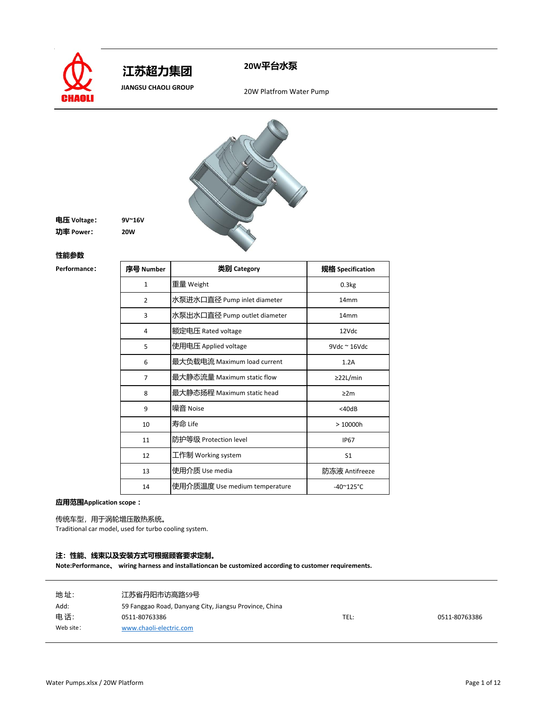



 **JIANGSU CHAOLI GROUP** 20W Platfrom Water Pump



## **电压 Voltage: 9V~16V 功率 Power: 20W**

### **性能参数**

 $Performance$ 

| 序号 Number      | 类别 Category                   | 规格 Specification           |
|----------------|-------------------------------|----------------------------|
| 1              | 重量 Weight                     | 0.3kg                      |
| $\overline{2}$ | 水泵进水口直径 Pump inlet diameter   | 14 <sub>mm</sub>           |
| 3              | 水泵出水口直径 Pump outlet diameter  | 14 <sub>mm</sub>           |
| 4              | 额定电压 Rated voltage            | 12Vdc                      |
| 5              | 使用电压 Applied voltage          | $9$ Vdc ~ 16Vdc            |
| 6              | 最大负载电流 Maximum load current   | 1.2A                       |
| 7              | 最大静态流量 Maximum static flow    | $\geq$ 22L/min             |
| 8              | 最大静态扬程 Maximum static head    | $\geq 2m$                  |
| 9              | 噪音 Noise                      | $<$ 40dB                   |
| 10             | 寿命 Life                       | >10000h                    |
| 11             | 防护等级 Protection level         | <b>IP67</b>                |
| 12             | 工作制 Working system            | S <sub>1</sub>             |
| 13             | 使用介质 Use media                | 防冻液 Antifreeze             |
| 14             | 使用介质温度 Use medium temperature | $-40^{\circ}125^{\circ}$ C |

**应用范围Application scope :**

传统车型,用于涡轮增压散热系统。

Traditional car model, used for turbo cooling system.

## **注:性能、线束以及安装方式可根据顾客要求定制。**

| 地址:       | 江苏省丹阳市访高路59号                                           |      |               |
|-----------|--------------------------------------------------------|------|---------------|
| Add:      | 59 Fanggao Road, Danyang City, Jiangsu Province, China |      |               |
| 电话:       | 0511-80763386                                          | TEL: | 0511-80763386 |
| Web site: | www.chaoli-electric.com                                |      |               |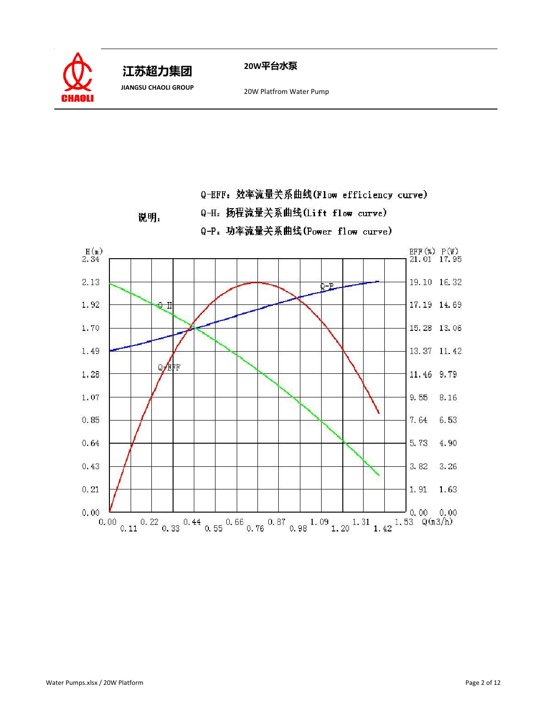

 **JIANGSU CHAOLI GROUP** 20W Platfrom Water Pump

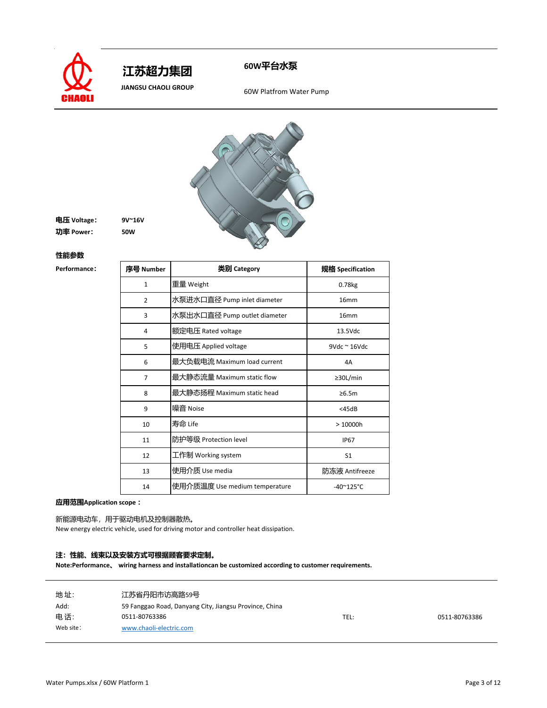



**JIANGSU CHAOLI GROUP** 60W Platfrom Water Pump



| 电压 Voltage: | $9V^{\sim}16V$ |
|-------------|----------------|
| 功率 Power:   | <b>50W</b>     |

#### **性能参数**

 $Performance$ 

| 序号 Number      | 类别 Category                   | 规格 Specification           |
|----------------|-------------------------------|----------------------------|
| $\mathbf{1}$   | 重量 Weight                     | 0.78kg                     |
| $\overline{2}$ | 水泵进水口直径 Pump inlet diameter   | 16mm                       |
| 3              | 水泵出水口直径 Pump outlet diameter  | 16 <sub>mm</sub>           |
| 4              | 额定电压 Rated voltage            | 13.5Vdc                    |
| 5              | 使用电压 Applied voltage          | $9Vdc \approx 16Vdc$       |
| 6              | 最大负载电流 Maximum load current   | 4A                         |
| 7              | 最大静态流量 Maximum static flow    | $\geq$ 30L/min             |
| 8              | 最大静态扬程 Maximum static head    | $\geq 6.5m$                |
| 9              | 噪音 Noise                      | $<$ 45dB                   |
| 10             | 寿命 Life                       | >10000h                    |
| 11             | 防护等级 Protection level         | <b>IP67</b>                |
| 12             | 工作制 Working system            | S <sub>1</sub>             |
| 13             | 使用介质 Use media                | 防冻液 Antifreeze             |
| 14             | 使用介质温度 Use medium temperature | $-40^{\circ}125^{\circ}$ C |

**应用范围Application scope :**

新能源电动车,用于驱动电机及控制器散热。

New energy electric vehicle, used for driving motor and controller heat dissipation.

### **注:性能、线束以及安装方式可根据顾客要求定制。**

| 地址:       | 江苏省丹阳市访高路59号                                           |      |               |
|-----------|--------------------------------------------------------|------|---------------|
| Add:      | 59 Fanggao Road, Danyang City, Jiangsu Province, China |      |               |
| 电话:       | 0511-80763386                                          | TEL: | 0511-80763386 |
| Web site: | www.chaoli-electric.com                                |      |               |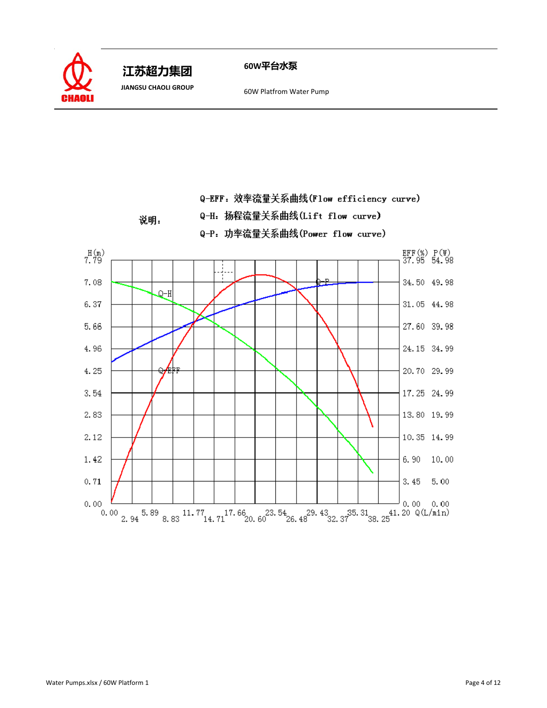

**JIANGSU CHAOLI GROUP** 60W Platfrom Water Pump

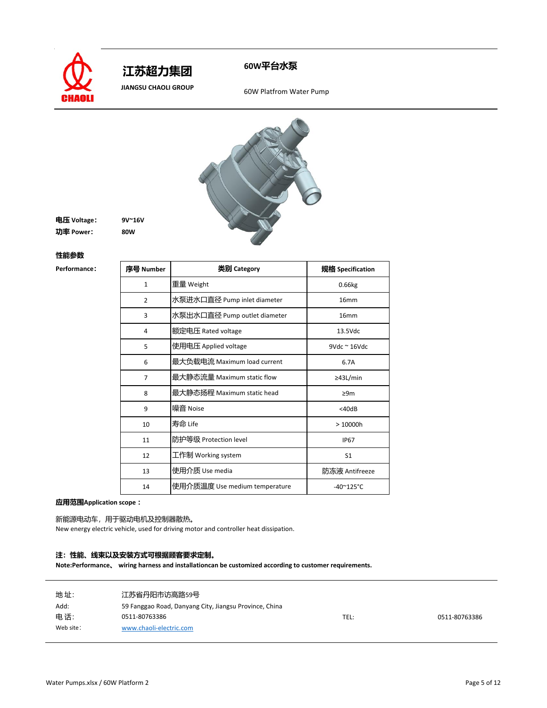



**JIANGSU CHAOLI GROUP** 60W Platfrom Water Pump



**电压 Voltage: 9V~16V 功率 Power: 80W**

#### **性能参数**

 $Performance$ 

| 序号 Number      | 类别 Category                   | 规格 Specification           |
|----------------|-------------------------------|----------------------------|
| $\mathbf{1}$   | 重量 Weight                     | 0.66kg                     |
| $\overline{2}$ | 水泵进水口直径 Pump inlet diameter   | 16mm                       |
| 3              | 水泵出水口直径 Pump outlet diameter  | 16 <sub>mm</sub>           |
| 4              | 额定电压 Rated voltage            | 13.5Vdc                    |
| 5              | 使用电压 Applied voltage          | $9Vdc \approx 16Vdc$       |
| 6              | 最大负载电流 Maximum load current   | 6.7A                       |
| 7              | 最大静态流量 Maximum static flow    | ≥43L/min                   |
| 8              | 最大静态扬程 Maximum static head    | $\geq 9m$                  |
| 9              | 噪音 Noise                      | $<$ 40dB                   |
| 10             | 寿命 Life                       | >10000h                    |
| 11             | 防护等级 Protection level         | <b>IP67</b>                |
| 12             | 工作制 Working system            | S <sub>1</sub>             |
| 13             | 使用介质 Use media                | 防冻液 Antifreeze             |
| 14             | 使用介质温度 Use medium temperature | $-40^{\circ}125^{\circ}$ C |

**应用范围Application scope :**

新能源电动车,用于驱动电机及控制器散热。

New energy electric vehicle, used for driving motor and controller heat dissipation.

### **注:性能、线束以及安装方式可根据顾客要求定制。**

| 地址:       | 江苏省丹阳市访高路59号                                           |      |               |
|-----------|--------------------------------------------------------|------|---------------|
| Add:      | 59 Fanggao Road, Danyang City, Jiangsu Province, China |      |               |
| 电话:       | 0511-80763386                                          | TEL: | 0511-80763386 |
| Web site: | www.chaoli-electric.com                                |      |               |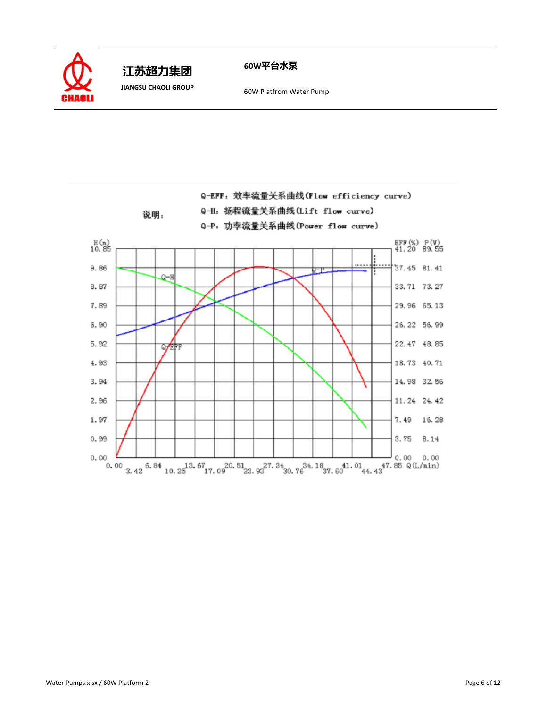

**60W平台水泵 江苏超力集团** 

**JIANGSU CHAOLI GROUP** 60W Platfrom Water Pump

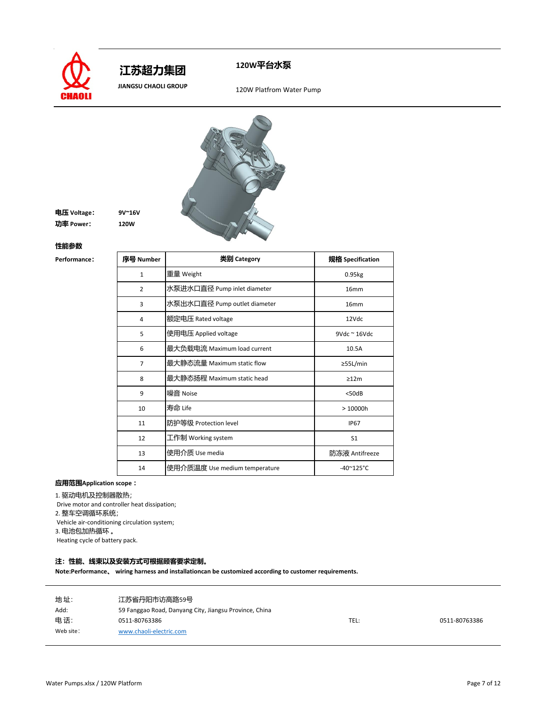

 **江苏超力集团** 

**120W平台水泵**

 **JIANGSU CHAOLI GROUP** 120W Platfrom Water Pump



**电压 Voltage: 9V~16V 功率 Power: 120W**

**性能参数**

 $Performance$ 

| 序号 Number      | 类别 Category                   | 规格 Specification           |
|----------------|-------------------------------|----------------------------|
| $\mathbf{1}$   | 重量 Weight                     | 0.95kg                     |
| $\overline{2}$ | 水泵进水口直径 Pump inlet diameter   | 16 <sub>mm</sub>           |
| 3              | 水泵出水口直径 Pump outlet diameter  | 16mm                       |
| 4              | 额定电压 Rated voltage            | 12Vdc                      |
| 5              | 使用电压 Applied voltage          | $9Vdc \approx 16Vdc$       |
| 6              | 最大负载电流 Maximum load current   | 10.5A                      |
| $\overline{7}$ | 最大静态流量 Maximum static flow    | ≥55L/min                   |
| 8              | 最大静态扬程 Maximum static head    | >12m                       |
| 9              | 噪音 Noise                      | $<$ 50dB                   |
| 10             | 寿命 Life                       | >10000h                    |
| 11             | 防护等级 Protection level         | <b>IP67</b>                |
| 12             | 工作制 Working system            | S <sub>1</sub>             |
| 13             | 使用介质 Use media                | 防冻液 Antifreeze             |
| 14             | 使用介质温度 Use medium temperature | $-40^{\circ}125^{\circ}$ C |

# **应用范围Application scope :**

1. 驱动电机及控制器散热;

Drive motor and controller heat dissipation;

2. 整车空调循环系统;

Vehicle air-conditioning circulation system;

3. 电池包加热循环 。

Heating cycle of battery pack.

### **注:性能、线束以及安装方式可根据顾客要求定制。**

| 地址:       | 江苏省丹阳市访高路59号                                           |      |               |
|-----------|--------------------------------------------------------|------|---------------|
| Add:      | 59 Fanggao Road, Danyang City, Jiangsu Province, China |      |               |
| 电话:       | 0511-80763386                                          | TEL: | 0511-80763386 |
| Web site: | www.chaoli-electric.com                                |      |               |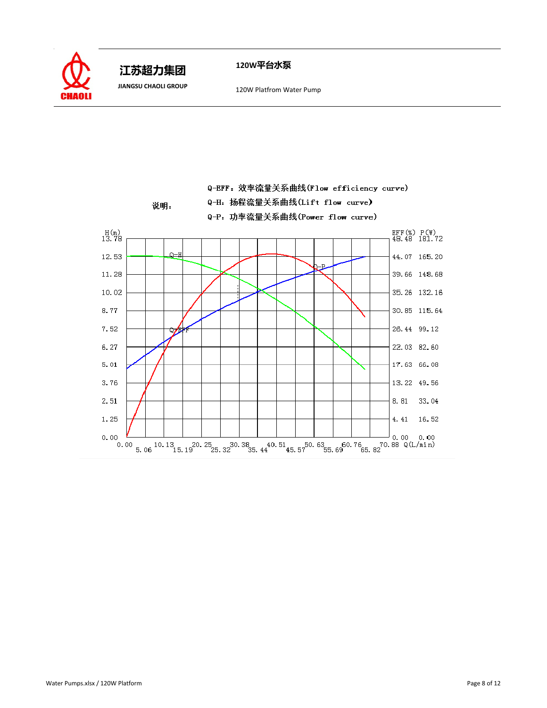

 **JIANGSU CHAOLI GROUP** 120W Platfrom Water Pump

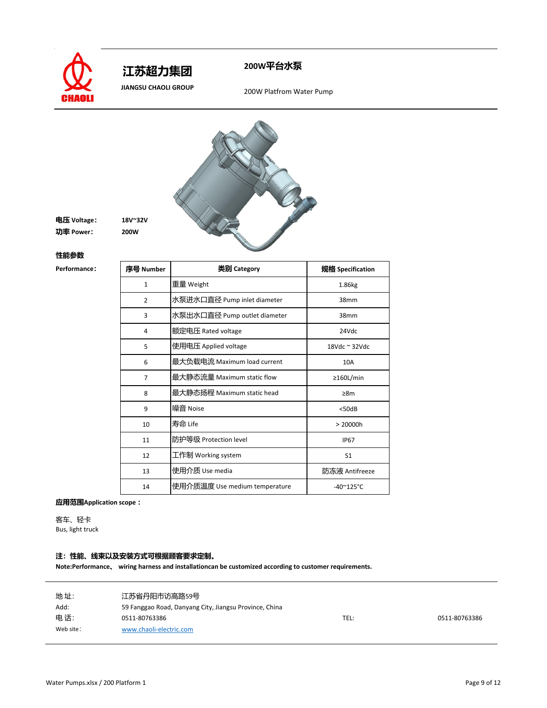



 **JIANGSU CHAOLI GROUP** 200W Platfrom Water Pump



**电压 Voltage: 18V~32V 功率 Power: 200W**

#### **性能参数**

 $Performance$ 

| 序号 Number      | 类别 Category                   | 规格 Specification           |
|----------------|-------------------------------|----------------------------|
| $\mathbf{1}$   | 重量 Weight                     | 1.86kg                     |
| $\overline{2}$ | 水泵进水口直径 Pump inlet diameter   | 38mm                       |
| 3              | 水泵出水口直径 Pump outlet diameter  | 38mm                       |
| 4              | 额定电压 Rated voltage            | 24Vdc                      |
| 5              | 使用电压 Applied voltage          | 18Vdc $\approx$ 32Vdc      |
| 6              | 最大负载电流 Maximum load current   | 10A                        |
| 7              | 最大静态流量 Maximum static flow    | $\geq$ 160L/min            |
| 8              | 最大静态扬程 Maximum static head    | $\geq 8m$                  |
| 9              | 噪音 Noise                      | $<$ 50dB                   |
| 10             | 寿命 Life                       | > 20000h                   |
| 11             | 防护等级 Protection level         | <b>IP67</b>                |
| 12             | 工作制 Working system            | S <sub>1</sub>             |
| 13             | 使用介质 Use media                | 防冻液 Antifreeze             |
| 14             | 使用介质温度 Use medium temperature | $-40^{\circ}125^{\circ}$ C |

**应用范围Application scope :**

客车、轻卡 Bus, light truck

## **注:性能、线束以及安装方式可根据顾客要求定制。**

| 地址:       | 江苏省丹阳市访高路59号                                           |      |               |
|-----------|--------------------------------------------------------|------|---------------|
| Add:      | 59 Fanggao Road, Danyang City, Jiangsu Province, China |      |               |
| 电话:       | 0511-80763386                                          | TEL: | 0511-80763386 |
| Web site: | www.chaoli-electric.com                                |      |               |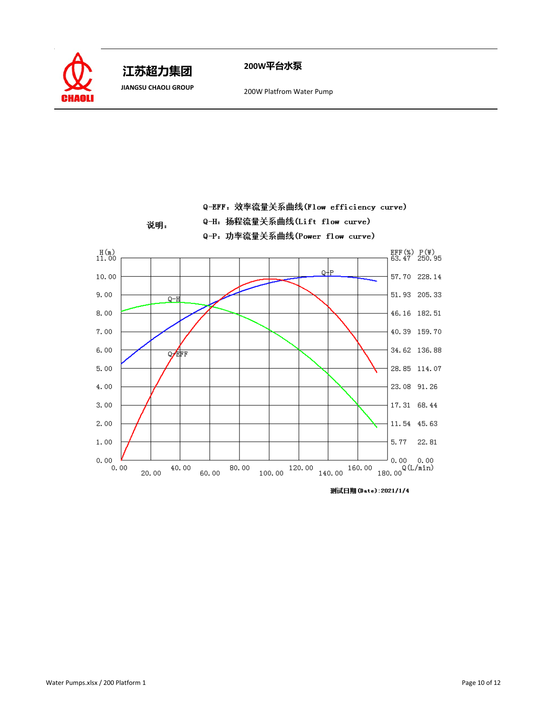

 **JIANGSU CHAOLI GROUP** 200W Platfrom Water Pump

Q-EFF: 效率流量关系曲线(Flow efficiency curve)



测试日期 (Date): 2021/1/4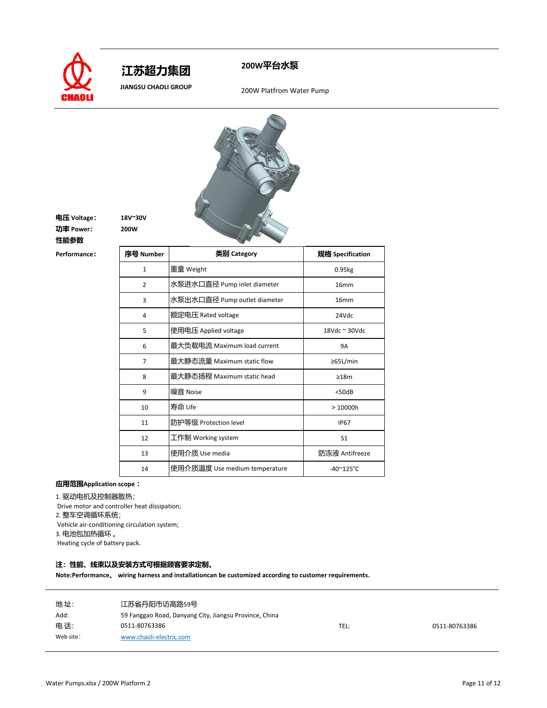

 **江苏超力集团** 

# **200W平台水泵**

 **JIANGSU CHAOLI GROUP** 200W Platfrom Water Pump



**电压 Voltage: 18V~30V 功率 Power: 200W**

**性能参数**

 $Performed$ **:** 

| 序号 Number      | 类别 Category                   | 规格 Specification           |
|----------------|-------------------------------|----------------------------|
| $\mathbf{1}$   | 重量 Weight                     | 0.95kg                     |
| $\overline{2}$ | 水泵进水口直径 Pump inlet diameter   | 16 <sub>mm</sub>           |
| 3              | 水泵出水口直径 Pump outlet diameter  | 16 <sub>mm</sub>           |
| 4              | 额定电压 Rated voltage            | 24Vdc                      |
| 5              | 使用电压 Applied voltage          | 18Vdc $\approx$ 30Vdc      |
| 6              | 最大负载电流 Maximum load current   | <b>9A</b>                  |
| 7              | 最大静态流量 Maximum static flow    | ≥65L/min                   |
| 8              | 最大静态扬程 Maximum static head    | $\geq 18m$                 |
| 9              | 噪音 Noise                      | $<$ 50dB                   |
| 10             | 寿命 Life                       | >10000h                    |
| 11             | 防护等级 Protection level         | <b>IP67</b>                |
| 12             | 工作制 Working system            | S <sub>1</sub>             |
| 13             | 使用介质 Use media                | 防冻液 Antifreeze             |
| 14             | 使用介质温度 Use medium temperature | $-40^{\circ}125^{\circ}$ C |

## **应用范围Application scope :**

1. 驱动电机及控制器散热;

Drive motor and controller heat dissipation;

2. 整车空调循环系统;

Vehicle air-conditioning circulation system;

3. 电池包加热循环 。

Heating cycle of battery pack.

### **注:性能、线束以及安装方式可根据顾客要求定制。**

| 地址:       | 江苏省丹阳市访高路59号                                           |      |               |
|-----------|--------------------------------------------------------|------|---------------|
| Add:      | 59 Fanggao Road, Danyang City, Jiangsu Province, China |      |               |
| 电话:       | 0511-80763386                                          | TEL: | 0511-80763386 |
| Web site: | www.chaoli-electric.com                                |      |               |